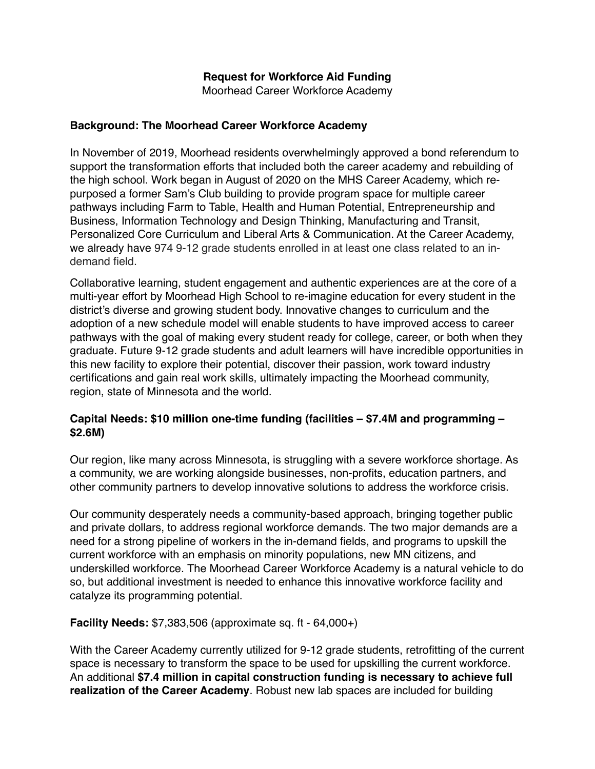## **Request for Workforce Aid Funding**

Moorhead Career Workforce Academy

#### **Background: The Moorhead Career Workforce Academy**

In November of 2019, Moorhead residents overwhelmingly approved a bond referendum to support the transformation efforts that included both the career academy and rebuilding of the high school. Work began in August of 2020 on the MHS Career Academy, which repurposed a former Sam's Club building to provide program space for multiple career pathways including Farm to Table, Health and Human Potential, Entrepreneurship and Business, Information Technology and Design Thinking, Manufacturing and Transit, Personalized Core Curriculum and Liberal Arts & Communication. At the Career Academy, we already have 974 9-12 grade students enrolled in at least one class related to an indemand field.

Collaborative learning, student engagement and authentic experiences are at the core of a multi-year effort by Moorhead High School to re-imagine education for every student in the district's diverse and growing student body. Innovative changes to curriculum and the adoption of a new schedule model will enable students to have improved access to career pathways with the goal of making every student ready for college, career, or both when they graduate. Future 9-12 grade students and adult learners will have incredible opportunities in this new facility to explore their potential, discover their passion, work toward industry certifications and gain real work skills, ultimately impacting the Moorhead community, region, state of Minnesota and the world.

### **Capital Needs: \$10 million one-time funding (facilities – \$7.4M and programming – \$2.6M)**

Our region, like many across Minnesota, is struggling with a severe workforce shortage. As a community, we are working alongside businesses, non-profits, education partners, and other community partners to develop innovative solutions to address the workforce crisis.

Our community desperately needs a community-based approach, bringing together public and private dollars, to address regional workforce demands. The two major demands are a need for a strong pipeline of workers in the in-demand fields, and programs to upskill the current workforce with an emphasis on minority populations, new MN citizens, and underskilled workforce. The Moorhead Career Workforce Academy is a natural vehicle to do so, but additional investment is needed to enhance this innovative workforce facility and catalyze its programming potential.

### **Facility Needs:** \$7,383,506 (approximate sq. ft - 64,000+)

With the Career Academy currently utilized for 9-12 grade students, retrofitting of the current space is necessary to transform the space to be used for upskilling the current workforce. An additional **\$7.4 million in capital construction funding is necessary to achieve full realization of the Career Academy**. Robust new lab spaces are included for building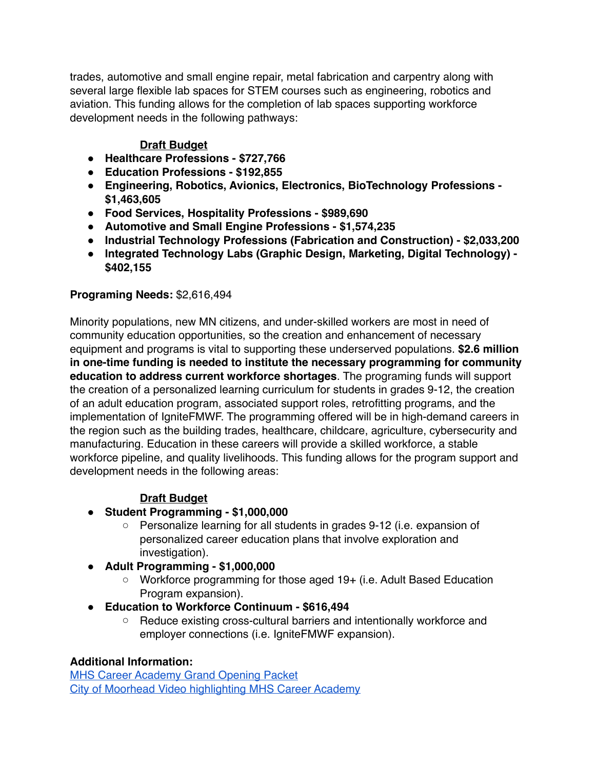trades, automotive and small engine repair, metal fabrication and carpentry along with several large flexible lab spaces for STEM courses such as engineering, robotics and aviation. This funding allows for the completion of lab spaces supporting workforce development needs in the following pathways:

# **Draft Budget**

- **● Healthcare Professions \$727,766**
- **● Education Professions \$192,855**
- **● Engineering, Robotics, Avionics, Electronics, BioTechnology Professions \$1,463,605**
- **● Food Services, Hospitality Professions \$989,690**
- **● Automotive and Small Engine Professions \$1,574,235**
- **● Industrial Technology Professions (Fabrication and Construction) \$2,033,200**
- **● Integrated Technology Labs (Graphic Design, Marketing, Digital Technology) \$402,155**

### **Programing Needs:** \$2,616,494

Minority populations, new MN citizens, and under-skilled workers are most in need of community education opportunities, so the creation and enhancement of necessary equipment and programs is vital to supporting these underserved populations. **\$2.6 million in one-time funding is needed to institute the necessary programming for community education to address current workforce shortages**. The programing funds will support the creation of a personalized learning curriculum for students in grades 9-12, the creation of an adult education program, associated support roles, retrofitting programs, and the implementation of IgniteFMWF. The programming offered will be in high-demand careers in the region such as the building trades, healthcare, childcare, agriculture, cybersecurity and manufacturing. Education in these careers will provide a skilled workforce, a stable workforce pipeline, and quality livelihoods. This funding allows for the program support and development needs in the following areas:

### **Draft Budget**

### **● Student Programming - \$1,000,000**

- Personalize learning for all students in grades 9-12 (i.e. expansion of personalized career education plans that involve exploration and investigation).
- **● Adult Programming \$1,000,000** 
	- Workforce programming for those aged 19+ (i.e. Adult Based Education Program expansion).
- **● Education to Workforce Continuum \$616,494** 
	- Reduce existing cross-cultural barriers and intentionally workforce and employer connections (i.e. IgniteFMWF expansion).

### **Additional Information:**

[MHS Career Academy Grand Opening Packet](https://5il.co/122w8) [City of Moorhead Video highlighting MHS Career Academy](https://youtu.be/kG5tl2he4TM)